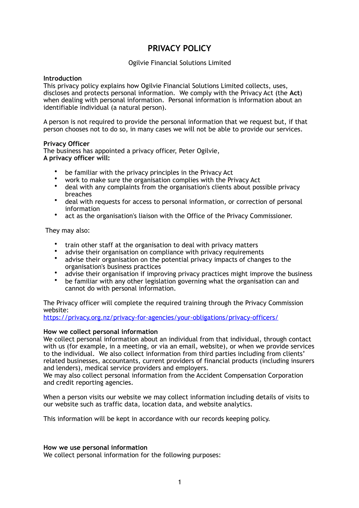# **PRIVACY POLICY**

# Ogilvie Financial Solutions Limited

## **Introduction**

This privacy policy explains how Ogilvie Financial Solutions Limited collects, uses, discloses and protects personal information. We comply with the Privacy Act (the **Act**) when dealing with personal information. Personal information is information about an identifiable individual (a natural person).

A person is not required to provide the personal information that we request but, if that person chooses not to do so, in many cases we will not be able to provide our services.

## **Privacy Officer**

The business has appointed a privacy officer, Peter Ogilvie, **A privacy officer will:** 

- be familiar with the privacy principles in the Privacy Act
- work to make sure the organisation complies with the Privacy Act
- deal with any complaints from the organisation's clients about possible privacy breaches
- deal with requests for access to personal information, or correction of personal information
- act as the organisation's liaison with the Office of the Privacy Commissioner.

They may also:

- train other staff at the organisation to deal with privacy matters
- advise their organisation on compliance with privacy requirements<br>• advise their organisation on the notential privacy impacts of chang
- advise their organisation on the potential privacy impacts of changes to the organisation's business practices
- advise their organisation if improving privacy practices might improve the business
- be familiar with any other legislation governing what the organisation can and cannot do with personal information.

## The Privacy officer will complete the required training through the Privacy Commission website:

<https://privacy.org.nz/privacy-for-agencies/your-obligations/privacy-officers/>

## **How we collect personal information**

We collect personal information about an individual from that individual, through contact with us (for example, in a meeting, or via an email, website), or when we provide services to the individual. We also collect information from third parties including from clients' related businesses, accountants, current providers of financial products (including insurers and lenders), medical service providers and employers.

We may also collect personal information from the Accident Compensation Corporation and credit reporting agencies.

When a person visits our website we may collect information including details of visits to our website such as traffic data, location data, and website analytics.

This information will be kept in accordance with our records keeping policy.

## **How we use personal information**

We collect personal information for the following purposes: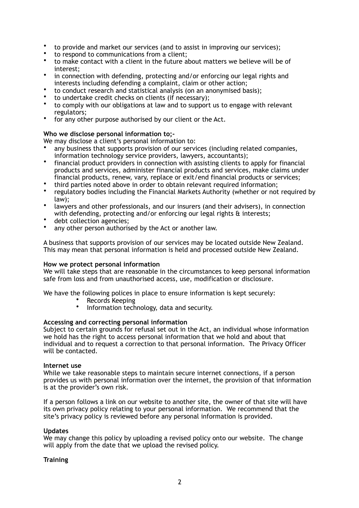- to provide and market our services (and to assist in improving our services);
- to respond to communications from a client;<br>• to make contact with a client in the future a
- to make contact with a client in the future about matters we believe will be of interest;
- in connection with defending, protecting and/or enforcing our legal rights and interests including defending a complaint, claim or other action;
- to conduct research and statistical analysis (on an anonymised basis);
- to undertake credit checks on clients (if necessary);
- to comply with our obligations at law and to support us to engage with relevant regulators;
- for any other purpose authorised by our client or the Act.

## **Who we disclose personal information to;-**

We may disclose a client's personal information to:

- any business that supports provision of our services (including related companies, information technology service providers, lawyers, accountants);
- financial product providers in connection with assisting clients to apply for financial products and services, administer financial products and services, make claims under financial products, renew, vary, replace or exit/end financial products or services;
- third parties noted above in order to obtain relevant required information;
- regulatory bodies including the Financial Markets Authority (whether or not required by law);
- lawyers and other professionals, and our insurers (and their advisers), in connection with defending, protecting and/or enforcing our legal rights & interests;
- debt collection agencies;
- any other person authorised by the Act or another law.

A business that supports provision of our services may be located outside New Zealand. This may mean that personal information is held and processed outside New Zealand.

## **How we protect personal information**

We will take steps that are reasonable in the circumstances to keep personal information safe from loss and from unauthorised access, use, modification or disclosure.

We have the following polices in place to ensure information is kept securely:

- Records Keeping
- Information technology, data and security.

## **Accessing and correcting personal information**

Subject to certain grounds for refusal set out in the Act, an individual whose information we hold has the right to access personal information that we hold and about that individual and to request a correction to that personal information. The Privacy Officer will be contacted.

## **Internet use**

While we take reasonable steps to maintain secure internet connections, if a person provides us with personal information over the internet, the provision of that information is at the provider's own risk.

If a person follows a link on our website to another site, the owner of that site will have its own privacy policy relating to your personal information. We recommend that the site's privacy policy is reviewed before any personal information is provided.

## **Updates**

We may change this policy by uploading a revised policy onto our website. The change will apply from the date that we upload the revised policy.

# **Training**